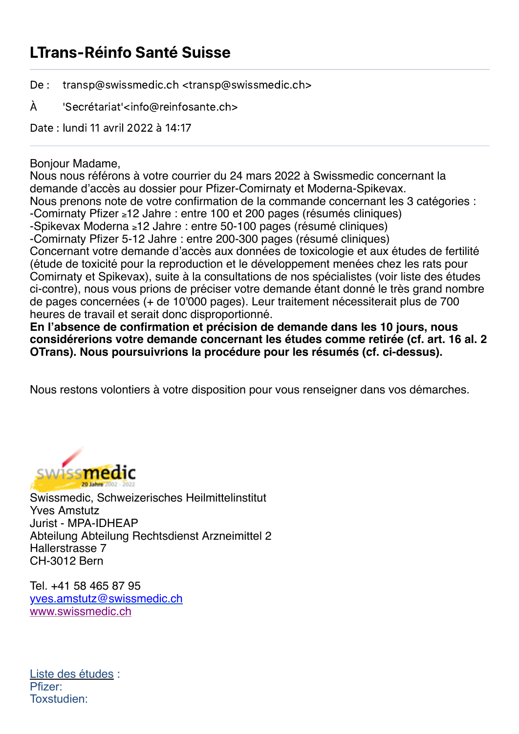## LTrans-Réinfo Santé Suisse

De : transp@swissmedic.ch <transp@swissmedic.ch>

À 'Secrétariat'<info@reinfosante.ch>

Date : lundi 11 avril 2022 à 14:17

## Bonjour Madame,

Nous nous référons à votre courrier du 24 mars 2022 à Swissmedic concernant la demande d'accès au dossier pour Pfizer-Comirnaty et Moderna-Spikevax. Nous prenons note de votre confirmation de la commande concernant les 3 catégories : -Comirnaty Pfizer ≥12 Jahre : entre 100 et 200 pages (résumés cliniques) -Spikevax Moderna ≥12 Jahre : entre 50-100 pages (résumé cliniques) -Comirnaty Pfizer 5-12 Jahre : entre 200-300 pages (résumé cliniques) Concernant votre demande d'accès aux données de toxicologie et aux études de fertilité (étude de toxicité pour la reproduction et le développement menées chez les rats pour Comirnaty et Spikevax), suite à la consultations de nos spécialistes (voir liste des études ci-contre), nous vous prions de préciser votre demande étant donné le très grand nombre de pages concernées (+ de 10'000 pages). Leur traitement nécessiterait plus de 700 heures de travail et serait donc disproportionné.

**En l'absence de confirmation et précision de demande dans les 10 jours, nous considérerions votre demande concernant les études comme retirée (cf. art. 16 al. 2 OTrans). Nous poursuivrions la procédure pour les résumés (cf. ci-dessus).**

Nous restons volontiers à votre disposition pour vous renseigner dans vos démarches.



Swissmedic, Schweizerisches Heilmittelinstitut Yves Amstutz Jurist - MPA-IDHEAP Abteilung Abteilung Rechtsdienst Arzneimittel 2 Hallerstrasse 7 CH-3012 Bern

Tel. +41 58 465 87 95 [yves.amstutz@swissmedic.ch](mailto:yves.amstutz@swissmedic.ch) [www.swissmedic.ch](http://www.swissmedic.ch/)

Liste des études : Pfizer: Toxstudien: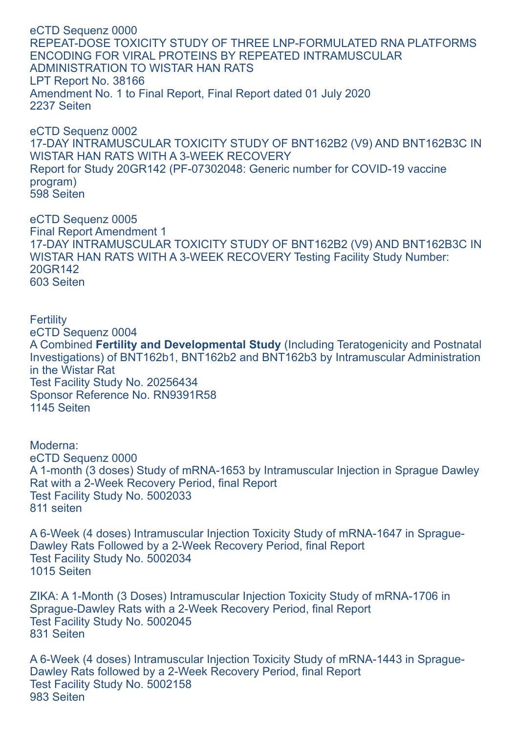eCTD Sequenz 0000 REPEAT-DOSE TOXICITY STUDY OF THREE LNP-FORMULATED RNA PLATFORMS ENCODING FOR VIRAL PROTEINS BY REPEATED INTRAMUSCULAR ADMINISTRATION TO WISTAR HAN RATS LPT Report No. 38166 Amendment No. 1 to Final Report, Final Report dated 01 July 2020 2237 Seiten

eCTD Sequenz 0002 17-DAY INTRAMUSCULAR TOXICITY STUDY OF BNT162B2 (V9) AND BNT162B3C IN WISTAR HAN RATS WITH A 3-WEEK RECOVERY Report for Study 20GR142 (PF-07302048: Generic number for COVID-19 vaccine program) 598 Seiten

eCTD Sequenz 0005 Final Report Amendment 1 17-DAY INTRAMUSCULAR TOXICITY STUDY OF BNT162B2 (V9) AND BNT162B3C IN WISTAR HAN RATS WITH A 3-WEEK RECOVERY Testing Facility Study Number: 20GR142 603 Seiten

**Fertility** eCTD Sequenz 0004 A Combined **Fertility and Developmental Study** (Including Teratogenicity and Postnatal Investigations) of BNT162b1, BNT162b2 and BNT162b3 by Intramuscular Administration in the Wistar Rat Test Facility Study No. 20256434 Sponsor Reference No. RN9391R58 1145 Seiten

Moderna: eCTD Sequenz 0000 A 1-month (3 doses) Study of mRNA-1653 by Intramuscular Injection in Sprague Dawley Rat with a 2-Week Recovery Period, final Report Test Facility Study No. 5002033 811 seiten

A 6-Week (4 doses) Intramuscular Injection Toxicity Study of mRNA-1647 in Sprague-Dawley Rats Followed by a 2-Week Recovery Period, final Report Test Facility Study No. 5002034 1015 Seiten

ZIKA: A 1-Month (3 Doses) Intramuscular Injection Toxicity Study of mRNA-1706 in Sprague-Dawley Rats with a 2-Week Recovery Period, final Report Test Facility Study No. 5002045 831 Seiten

A 6-Week (4 doses) Intramuscular Injection Toxicity Study of mRNA-1443 in Sprague-Dawley Rats followed by a 2-Week Recovery Period, final Report Test Facility Study No. 5002158 983 Seiten